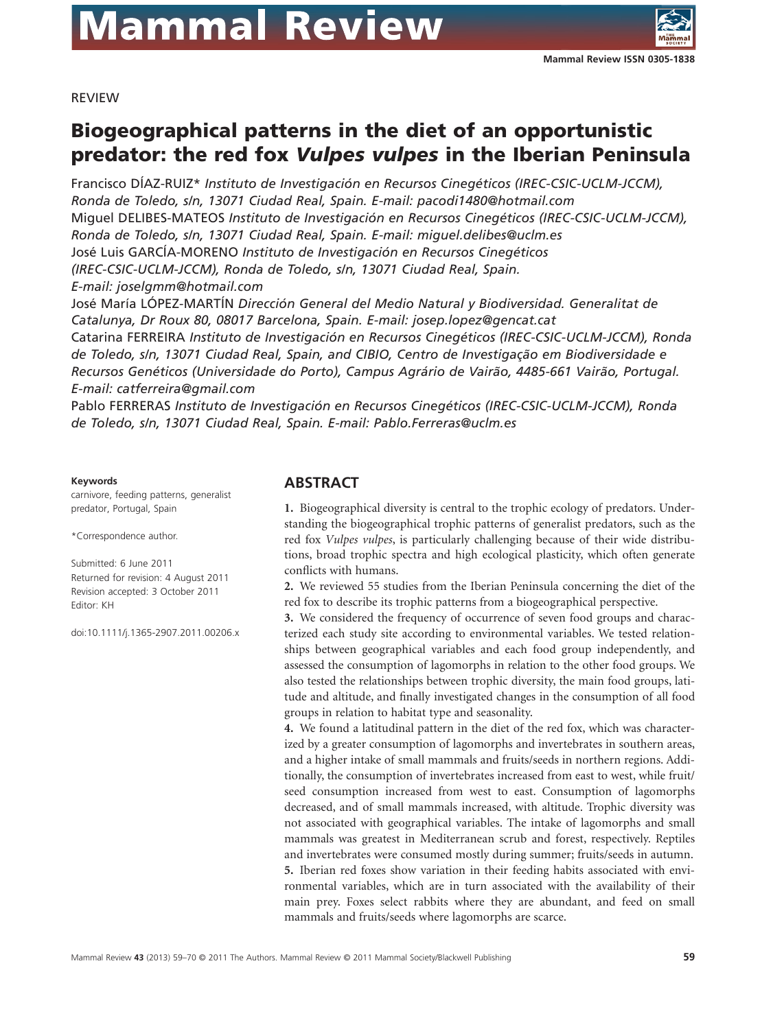

REVIEW

# **Biogeographical patterns in the diet of an opportunistic predator: the red fox** *Vulpes vulpes* **in the Iberian Peninsula**

Francisco DÍAZ-RUIZ\* *Instituto de Investigación en Recursos Cinegéticos (IREC-CSIC-UCLM-JCCM), Ronda de Toledo, s/n, 13071 Ciudad Real, Spain. E-mail: pacodi1480@hotmail.com* Miguel DELIBES-MATEOS *Instituto de Investigación en Recursos Cinegéticos (IREC-CSIC-UCLM-JCCM), Ronda de Toledo, s/n, 13071 Ciudad Real, Spain. E-mail: miguel.delibes@uclm.es* José Luis GARCÍA-MORENO *Instituto de Investigación en Recursos Cinegéticos (IREC-CSIC-UCLM-JCCM), Ronda de Toledo, s/n, 13071 Ciudad Real, Spain. E-mail: joselgmm@hotmail.com*

José María LÓPEZ-MARTÍN *Dirección General del Medio Natural y Biodiversidad. Generalitat de Catalunya, Dr Roux 80, 08017 Barcelona, Spain. E-mail: josep.lopez@gencat.cat* Catarina FERREIRA *Instituto de Investigación en Recursos Cinegéticos (IREC-CSIC-UCLM-JCCM), Ronda de Toledo, s/n, 13071 Ciudad Real, Spain, and CIBIO, Centro de Investigação em Biodiversidade e Recursos Genéticos (Universidade do Porto), Campus Agrário de Vairão, 4485-661 Vairão, Portugal. E-mail: catferreira@gmail.com*

Pablo FERRERAS *Instituto de Investigación en Recursos Cinegéticos (IREC-CSIC-UCLM-JCCM), Ronda de Toledo, s/n, 13071 Ciudad Real, Spain. E-mail: Pablo.Ferreras@uclm.es*

#### **Keywords**

carnivore, feeding patterns, generalist predator, Portugal, Spain

\*Correspondence author.

Submitted: 6 June 2011 Returned for revision: 4 August 2011 Revision accepted: 3 October 2011 Editor: KH

doi:10.1111/j.1365-2907.2011.00206.x

#### **ABSTRACT**

**1.** Biogeographical diversity is central to the trophic ecology of predators. Understanding the biogeographical trophic patterns of generalist predators, such as the red fox *Vulpes vulpes*, is particularly challenging because of their wide distributions, broad trophic spectra and high ecological plasticity, which often generate conflicts with humans.

**2.** We reviewed 55 studies from the Iberian Peninsula concerning the diet of the red fox to describe its trophic patterns from a biogeographical perspective.

**3.** We considered the frequency of occurrence of seven food groups and characterized each study site according to environmental variables. We tested relationships between geographical variables and each food group independently, and assessed the consumption of lagomorphs in relation to the other food groups. We also tested the relationships between trophic diversity, the main food groups, latitude and altitude, and finally investigated changes in the consumption of all food groups in relation to habitat type and seasonality.

**4.** We found a latitudinal pattern in the diet of the red fox, which was characterized by a greater consumption of lagomorphs and invertebrates in southern areas, and a higher intake of small mammals and fruits/seeds in northern regions. Additionally, the consumption of invertebrates increased from east to west, while fruit/ seed consumption increased from west to east. Consumption of lagomorphs decreased, and of small mammals increased, with altitude. Trophic diversity was not associated with geographical variables. The intake of lagomorphs and small mammals was greatest in Mediterranean scrub and forest, respectively. Reptiles and invertebrates were consumed mostly during summer; fruits/seeds in autumn. **5.** Iberian red foxes show variation in their feeding habits associated with environmental variables, which are in turn associated with the availability of their main prey. Foxes select rabbits where they are abundant, and feed on small mammals and fruits/seeds where lagomorphs are scarce.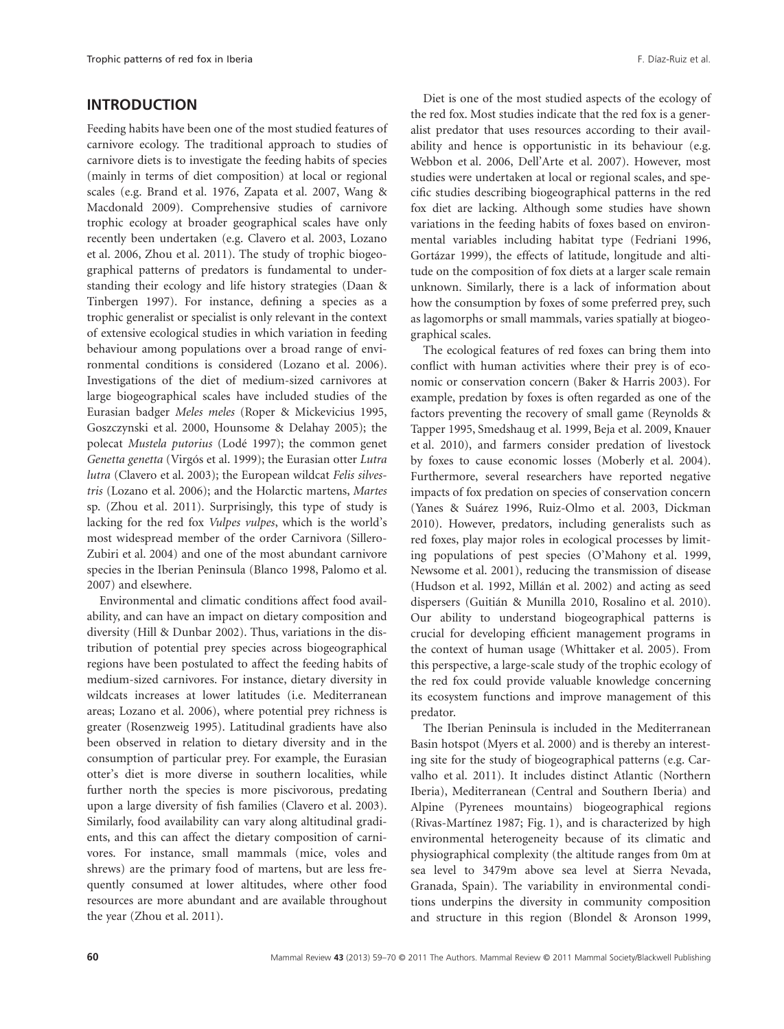## **INTRODUCTION**

Feeding habits have been one of the most studied features of carnivore ecology. The traditional approach to studies of carnivore diets is to investigate the feeding habits of species (mainly in terms of diet composition) at local or regional scales (e.g. Brand et al. 1976, Zapata et al. 2007, Wang & Macdonald 2009). Comprehensive studies of carnivore trophic ecology at broader geographical scales have only recently been undertaken (e.g. Clavero et al. 2003, Lozano et al. 2006, Zhou et al. 2011). The study of trophic biogeographical patterns of predators is fundamental to understanding their ecology and life history strategies (Daan & Tinbergen 1997). For instance, defining a species as a trophic generalist or specialist is only relevant in the context of extensive ecological studies in which variation in feeding behaviour among populations over a broad range of environmental conditions is considered (Lozano et al. 2006). Investigations of the diet of medium-sized carnivores at large biogeographical scales have included studies of the Eurasian badger *Meles meles* (Roper & Mickevicius 1995, Goszczynski et al. 2000, Hounsome & Delahay 2005); the polecat *Mustela putorius* (Lodé 1997); the common genet *Genetta genetta* (Virgós et al. 1999); the Eurasian otter *Lutra lutra* (Clavero et al. 2003); the European wildcat *Felis silvestris* (Lozano et al. 2006); and the Holarctic martens, *Martes* sp. (Zhou et al. 2011). Surprisingly, this type of study is lacking for the red fox *Vulpes vulpes*, which is the world's most widespread member of the order Carnivora (Sillero-Zubiri et al. 2004) and one of the most abundant carnivore species in the Iberian Peninsula (Blanco 1998, Palomo et al. 2007) and elsewhere.

Environmental and climatic conditions affect food availability, and can have an impact on dietary composition and diversity (Hill & Dunbar 2002). Thus, variations in the distribution of potential prey species across biogeographical regions have been postulated to affect the feeding habits of medium-sized carnivores. For instance, dietary diversity in wildcats increases at lower latitudes (i.e. Mediterranean areas; Lozano et al. 2006), where potential prey richness is greater (Rosenzweig 1995). Latitudinal gradients have also been observed in relation to dietary diversity and in the consumption of particular prey. For example, the Eurasian otter's diet is more diverse in southern localities, while further north the species is more piscivorous, predating upon a large diversity of fish families (Clavero et al. 2003). Similarly, food availability can vary along altitudinal gradients, and this can affect the dietary composition of carnivores. For instance, small mammals (mice, voles and shrews) are the primary food of martens, but are less frequently consumed at lower altitudes, where other food resources are more abundant and are available throughout the year (Zhou et al. 2011).

Diet is one of the most studied aspects of the ecology of the red fox. Most studies indicate that the red fox is a generalist predator that uses resources according to their availability and hence is opportunistic in its behaviour (e.g. Webbon et al. 2006, Dell'Arte et al. 2007). However, most studies were undertaken at local or regional scales, and specific studies describing biogeographical patterns in the red fox diet are lacking. Although some studies have shown variations in the feeding habits of foxes based on environmental variables including habitat type (Fedriani 1996, Gortázar 1999), the effects of latitude, longitude and altitude on the composition of fox diets at a larger scale remain unknown. Similarly, there is a lack of information about how the consumption by foxes of some preferred prey, such as lagomorphs or small mammals, varies spatially at biogeographical scales.

The ecological features of red foxes can bring them into conflict with human activities where their prey is of economic or conservation concern (Baker & Harris 2003). For example, predation by foxes is often regarded as one of the factors preventing the recovery of small game (Reynolds & Tapper 1995, Smedshaug et al. 1999, Beja et al. 2009, Knauer et al. 2010), and farmers consider predation of livestock by foxes to cause economic losses (Moberly et al. 2004). Furthermore, several researchers have reported negative impacts of fox predation on species of conservation concern (Yanes & Suárez 1996, Ruiz-Olmo et al. 2003, Dickman 2010). However, predators, including generalists such as red foxes, play major roles in ecological processes by limiting populations of pest species (O'Mahony et al. 1999, Newsome et al. 2001), reducing the transmission of disease (Hudson et al. 1992, Millán et al. 2002) and acting as seed dispersers (Guitián & Munilla 2010, Rosalino et al. 2010). Our ability to understand biogeographical patterns is crucial for developing efficient management programs in the context of human usage (Whittaker et al. 2005). From this perspective, a large-scale study of the trophic ecology of the red fox could provide valuable knowledge concerning its ecosystem functions and improve management of this predator.

The Iberian Peninsula is included in the Mediterranean Basin hotspot (Myers et al. 2000) and is thereby an interesting site for the study of biogeographical patterns (e.g. Carvalho et al. 2011). It includes distinct Atlantic (Northern Iberia), Mediterranean (Central and Southern Iberia) and Alpine (Pyrenees mountains) biogeographical regions (Rivas-Martínez 1987; Fig. 1), and is characterized by high environmental heterogeneity because of its climatic and physiographical complexity (the altitude ranges from 0m at sea level to 3479m above sea level at Sierra Nevada, Granada, Spain). The variability in environmental conditions underpins the diversity in community composition and structure in this region (Blondel & Aronson 1999,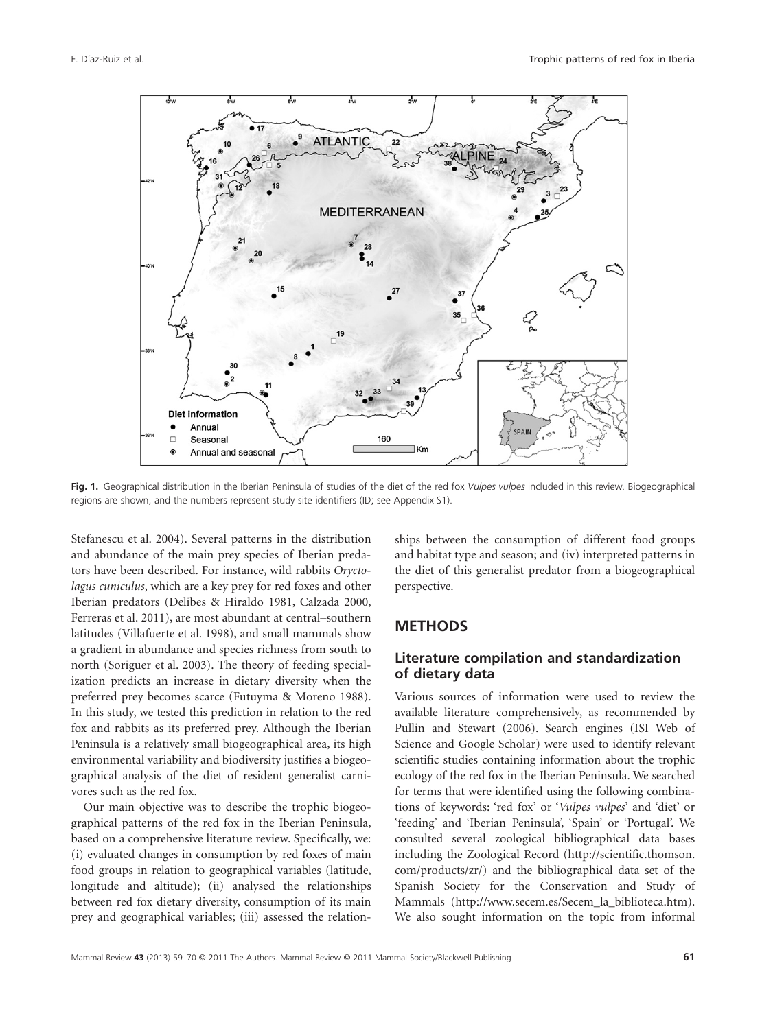

**Fig. 1.** Geographical distribution in the Iberian Peninsula of studies of the diet of the red fox *Vulpes vulpes* included in this review. Biogeographical regions are shown, and the numbers represent study site identifiers (ID; see Appendix S1).

Stefanescu et al. 2004). Several patterns in the distribution and abundance of the main prey species of Iberian predators have been described. For instance, wild rabbits *Oryctolagus cuniculus*, which are a key prey for red foxes and other Iberian predators (Delibes & Hiraldo 1981, Calzada 2000, Ferreras et al. 2011), are most abundant at central–southern latitudes (Villafuerte et al. 1998), and small mammals show a gradient in abundance and species richness from south to north (Soriguer et al. 2003). The theory of feeding specialization predicts an increase in dietary diversity when the preferred prey becomes scarce (Futuyma & Moreno 1988). In this study, we tested this prediction in relation to the red fox and rabbits as its preferred prey. Although the Iberian Peninsula is a relatively small biogeographical area, its high environmental variability and biodiversity justifies a biogeographical analysis of the diet of resident generalist carnivores such as the red fox.

Our main objective was to describe the trophic biogeographical patterns of the red fox in the Iberian Peninsula, based on a comprehensive literature review. Specifically, we: (i) evaluated changes in consumption by red foxes of main food groups in relation to geographical variables (latitude, longitude and altitude); (ii) analysed the relationships between red fox dietary diversity, consumption of its main prey and geographical variables; (iii) assessed the relationships between the consumption of different food groups and habitat type and season; and (iv) interpreted patterns in the diet of this generalist predator from a biogeographical perspective.

#### **METHODS**

#### **Literature compilation and standardization of dietary data**

Various sources of information were used to review the available literature comprehensively, as recommended by Pullin and Stewart (2006). Search engines (ISI Web of Science and Google Scholar) were used to identify relevant scientific studies containing information about the trophic ecology of the red fox in the Iberian Peninsula. We searched for terms that were identified using the following combinations of keywords: 'red fox' or '*Vulpes vulpes*' and 'diet' or 'feeding' and 'Iberian Peninsula', 'Spain' or 'Portugal'. We consulted several zoological bibliographical data bases including the Zoological Record (http://scientific.thomson. com/products/zr/) and the bibliographical data set of the Spanish Society for the Conservation and Study of Mammals (http://www.secem.es/Secem\_la\_biblioteca.htm). We also sought information on the topic from informal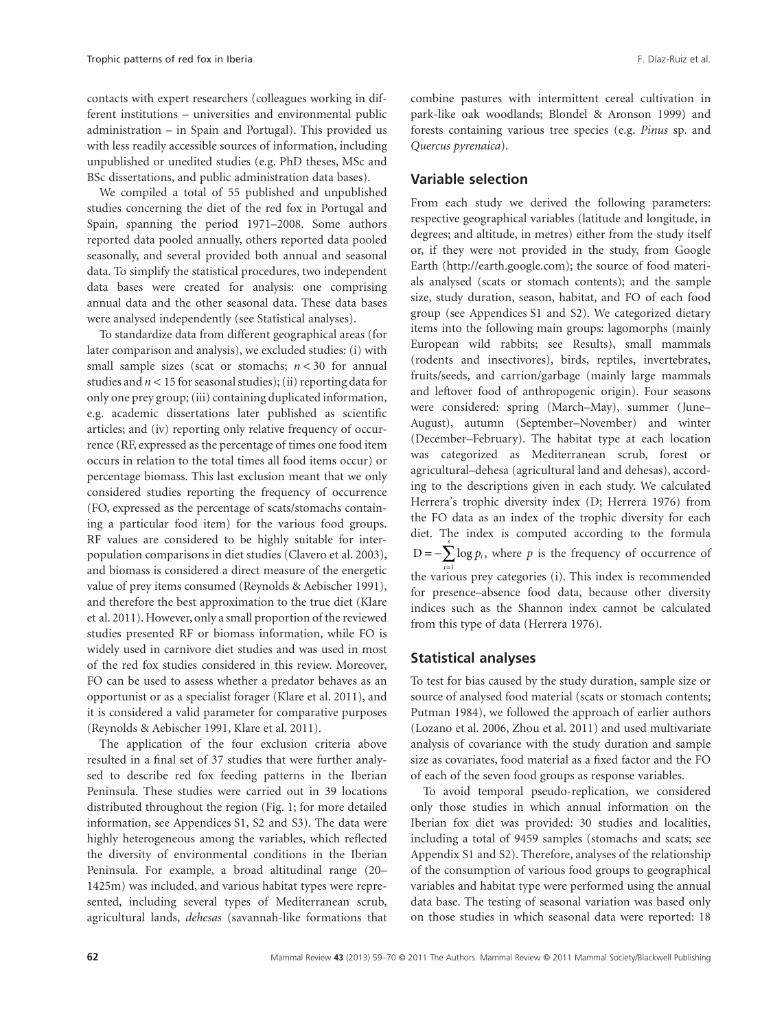contacts with expert researchers (colleagues working in different institutions – universities and environmental public administration – in Spain and Portugal). This provided us with less readily accessible sources of information, including unpublished or unedited studies (e.g. PhD theses, MSc and BSc dissertations, and public administration data bases).

We compiled a total of 55 published and unpublished studies concerning the diet of the red fox in Portugal and Spain, spanning the period 1971–2008. Some authors reported data pooled annually, others reported data pooled seasonally, and several provided both annual and seasonal data. To simplify the statistical procedures, two independent data bases were created for analysis: one comprising annual data and the other seasonal data. These data bases were analysed independently (see Statistical analyses).

To standardize data from different geographical areas (for later comparison and analysis), we excluded studies: (i) with small sample sizes (scat or stomachs; *n* < 30 for annual studies and  $n < 15$  for seasonal studies); (ii) reporting data for only one prey group; (iii) containing duplicated information, e.g. academic dissertations later published as scientific articles; and (iv) reporting only relative frequency of occurrence (RF, expressed as the percentage of times one food item occurs in relation to the total times all food items occur) or percentage biomass. This last exclusion meant that we only considered studies reporting the frequency of occurrence (FO, expressed as the percentage of scats/stomachs containing a particular food item) for the various food groups. RF values are considered to be highly suitable for interpopulation comparisons in diet studies (Clavero et al. 2003), and biomass is considered a direct measure of the energetic value of prey items consumed (Reynolds & Aebischer 1991), and therefore the best approximation to the true diet (Klare et al. 2011). However, only a small proportion of the reviewed studies presented RF or biomass information, while FO is widely used in carnivore diet studies and was used in most of the red fox studies considered in this review. Moreover, FO can be used to assess whether a predator behaves as an opportunist or as a specialist forager (Klare et al. 2011), and it is considered a valid parameter for comparative purposes (Reynolds & Aebischer 1991, Klare et al. 2011).

The application of the four exclusion criteria above resulted in a final set of 37 studies that were further analysed to describe red fox feeding patterns in the Iberian Peninsula. These studies were carried out in 39 locations distributed throughout the region (Fig. 1; for more detailed information, see Appendices S1, S2 and S3). The data were highly heterogeneous among the variables, which reflected the diversity of environmental conditions in the Iberian Peninsula. For example, a broad altitudinal range (20– 1425m) was included, and various habitat types were represented, including several types of Mediterranean scrub, agricultural lands, *dehesas* (savannah-like formations that combine pastures with intermittent cereal cultivation in park-like oak woodlands; Blondel & Aronson 1999) and forests containing various tree species (e.g. *Pinus* sp. and *Quercus pyrenaica*).

## **Variable selection**

From each study we derived the following parameters: respective geographical variables (latitude and longitude, in degrees; and altitude, in metres) either from the study itself or, if they were not provided in the study, from Google Earth (http://earth.google.com); the source of food materials analysed (scats or stomach contents); and the sample size, study duration, season, habitat, and FO of each food group (see Appendices S1 and S2). We categorized dietary items into the following main groups: lagomorphs (mainly European wild rabbits; see Results), small mammals (rodents and insectivores), birds, reptiles, invertebrates, fruits/seeds, and carrion/garbage (mainly large mammals and leftover food of anthropogenic origin). Four seasons were considered: spring (March–May), summer (June– August), autumn (September–November) and winter (December–February). The habitat type at each location was categorized as Mediterranean scrub, forest or agricultural–dehesa (agricultural land and dehesas), according to the descriptions given in each study. We calculated Herrera's trophic diversity index (D; Herrera 1976) from the FO data as an index of the trophic diversity for each diet. The index is computed according to the formula *s*  $D = -\sum \log p_i$ , where *p* is the frequency of occurrence of the various prey categories (i). This index is recommended for presence–absence food data, because other diversity indices such as the Shannon index cannot be calculated from this type of data (Herrera 1976).

#### **Statistical analyses**

To test for bias caused by the study duration, sample size or source of analysed food material (scats or stomach contents; Putman 1984), we followed the approach of earlier authors (Lozano et al. 2006, Zhou et al. 2011) and used multivariate analysis of covariance with the study duration and sample size as covariates, food material as a fixed factor and the FO of each of the seven food groups as response variables.

To avoid temporal pseudo-replication, we considered only those studies in which annual information on the Iberian fox diet was provided: 30 studies and localities, including a total of 9459 samples (stomachs and scats; see Appendix S1 and S2). Therefore, analyses of the relationship of the consumption of various food groups to geographical variables and habitat type were performed using the annual data base. The testing of seasonal variation was based only on those studies in which seasonal data were reported: 18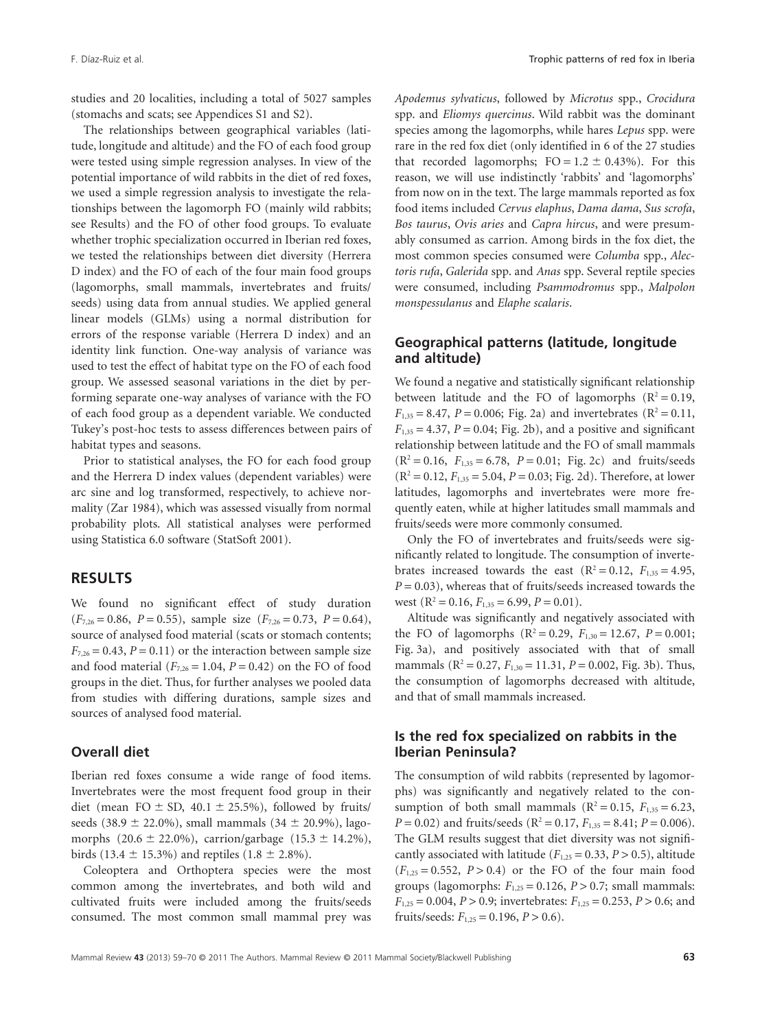studies and 20 localities, including a total of 5027 samples (stomachs and scats; see Appendices S1 and S2).

The relationships between geographical variables (latitude, longitude and altitude) and the FO of each food group were tested using simple regression analyses. In view of the potential importance of wild rabbits in the diet of red foxes, we used a simple regression analysis to investigate the relationships between the lagomorph FO (mainly wild rabbits; see Results) and the FO of other food groups. To evaluate whether trophic specialization occurred in Iberian red foxes, we tested the relationships between diet diversity (Herrera D index) and the FO of each of the four main food groups (lagomorphs, small mammals, invertebrates and fruits/ seeds) using data from annual studies. We applied general linear models (GLMs) using a normal distribution for errors of the response variable (Herrera D index) and an identity link function. One-way analysis of variance was used to test the effect of habitat type on the FO of each food group. We assessed seasonal variations in the diet by performing separate one-way analyses of variance with the FO of each food group as a dependent variable. We conducted Tukey's post-hoc tests to assess differences between pairs of habitat types and seasons.

Prior to statistical analyses, the FO for each food group and the Herrera D index values (dependent variables) were arc sine and log transformed, respectively, to achieve normality (Zar 1984), which was assessed visually from normal probability plots. All statistical analyses were performed using Statistica 6.0 software (StatSoft 2001).

#### **RESULTS**

We found no significant effect of study duration  $(F_{7,26} = 0.86, P = 0.55)$ , sample size  $(F_{7,26} = 0.73, P = 0.64)$ , source of analysed food material (scats or stomach contents;  $F_{7,26} = 0.43$ ,  $P = 0.11$ ) or the interaction between sample size and food material  $(F_{7,26} = 1.04, P = 0.42)$  on the FO of food groups in the diet. Thus, for further analyses we pooled data from studies with differing durations, sample sizes and sources of analysed food material.

#### **Overall diet**

Iberian red foxes consume a wide range of food items. Invertebrates were the most frequent food group in their diet (mean FO  $\pm$  SD, 40.1  $\pm$  25.5%), followed by fruits/ seeds (38.9  $\pm$  22.0%), small mammals (34  $\pm$  20.9%), lagomorphs  $(20.6 \pm 22.0\%)$ , carrion/garbage  $(15.3 \pm 14.2\%)$ , birds (13.4  $\pm$  15.3%) and reptiles (1.8  $\pm$  2.8%).

Coleoptera and Orthoptera species were the most common among the invertebrates, and both wild and cultivated fruits were included among the fruits/seeds consumed. The most common small mammal prey was *Apodemus sylvaticus*, followed by *Microtus* spp., *Crocidura* spp. and *Eliomys quercinus*. Wild rabbit was the dominant species among the lagomorphs, while hares *Lepus* spp. were rare in the red fox diet (only identified in 6 of the 27 studies that recorded lagomorphs;  $FO = 1.2 \pm 0.43\%$ ). For this reason, we will use indistinctly 'rabbits' and 'lagomorphs' from now on in the text. The large mammals reported as fox food items included *Cervus elaphus*, *Dama dama*, *Sus scrofa*, *Bos taurus*, *Ovis aries* and *Capra hircus*, and were presumably consumed as carrion. Among birds in the fox diet, the most common species consumed were *Columba* spp., *Alectoris rufa*, *Galerida* spp. and *Anas* spp. Several reptile species were consumed, including *Psammodromus* spp., *Malpolon monspessulanus* and *Elaphe scalaris*.

### **Geographical patterns (latitude, longitude and altitude)**

We found a negative and statistically significant relationship between latitude and the FO of lagomorphs  $(R^2 = 0.19,$  $F_{1,35} = 8.47$ ,  $P = 0.006$ ; Fig. 2a) and invertebrates (R<sup>2</sup> = 0.11,  $F_{1,35} = 4.37$ ,  $P = 0.04$ ; Fig. 2b), and a positive and significant relationship between latitude and the FO of small mammals  $(R^2 = 0.16, F_{1,35} = 6.78, P = 0.01; Fig. 2c)$  and fruits/seeds  $(R^2 = 0.12, F_{1,35} = 5.04, P = 0.03$ ; Fig. 2d). Therefore, at lower latitudes, lagomorphs and invertebrates were more frequently eaten, while at higher latitudes small mammals and fruits/seeds were more commonly consumed.

Only the FO of invertebrates and fruits/seeds were significantly related to longitude. The consumption of invertebrates increased towards the east  $(R^2 = 0.12, F_{1,35} = 4.95,$ *P* = 0.03), whereas that of fruits/seeds increased towards the west  $(R^2 = 0.16, F_{1,35} = 6.99, P = 0.01)$ .

Altitude was significantly and negatively associated with the FO of lagomorphs  $(R^2 = 0.29, F_{1,30} = 12.67, P = 0.001;$ Fig. 3a), and positively associated with that of small mammals ( $R^2 = 0.27$ ,  $F_{1,30} = 11.31$ ,  $P = 0.002$ , Fig. 3b). Thus, the consumption of lagomorphs decreased with altitude, and that of small mammals increased.

#### **Is the red fox specialized on rabbits in the Iberian Peninsula?**

The consumption of wild rabbits (represented by lagomorphs) was significantly and negatively related to the consumption of both small mammals ( $R^2 = 0.15$ ,  $F_{1,35} = 6.23$ ,  $P = 0.02$ ) and fruits/seeds (R<sup>2</sup> = 0.17,  $F_{1,35} = 8.41$ ;  $P = 0.006$ ). The GLM results suggest that diet diversity was not significantly associated with latitude ( $F_{1,25} = 0.33$ ,  $P > 0.5$ ), altitude  $(F<sub>1,25</sub> = 0.552, P > 0.4)$  or the FO of the four main food groups (lagomorphs:  $F_{1,25} = 0.126$ ,  $P > 0.7$ ; small mammals: *F*1,25 = 0.004, *P* > 0.9; invertebrates: *F*1,25 = 0.253, *P* > 0.6; and fruits/seeds:  $F_{1,25} = 0.196, P > 0.6$ .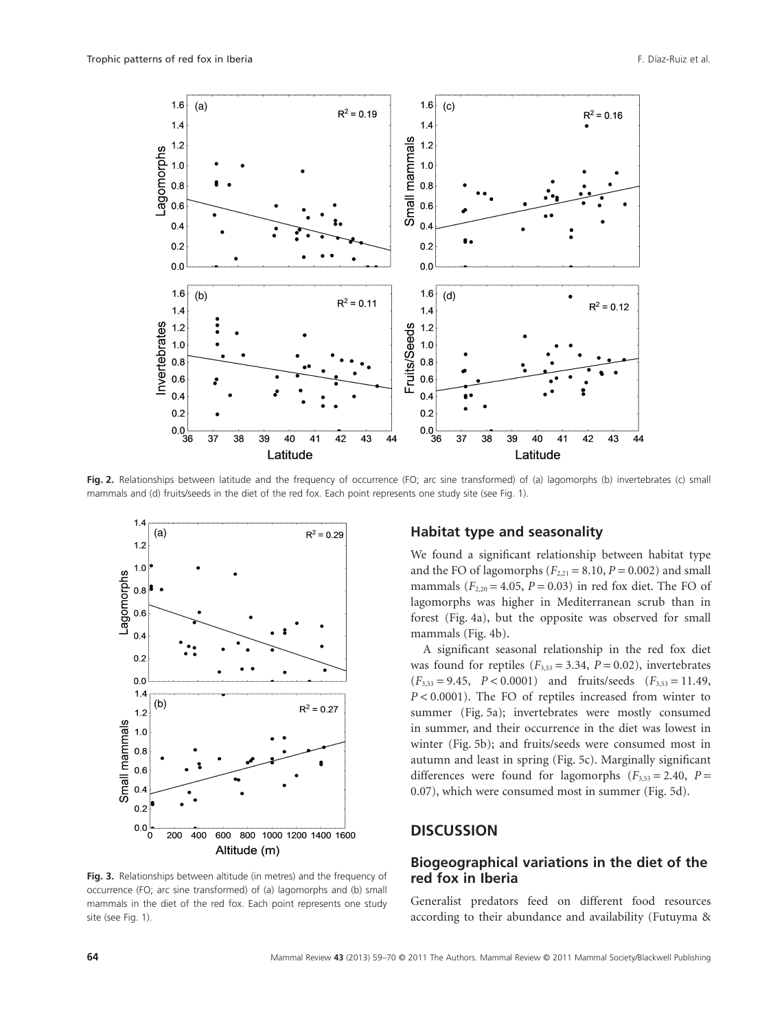

Fig. 2. Relationships between latitude and the frequency of occurrence (FO; arc sine transformed) of (a) lagomorphs (b) invertebrates (c) small mammals and (d) fruits/seeds in the diet of the red fox. Each point represents one study site (see Fig. 1).



**Fig. 3.** Relationships between altitude (in metres) and the frequency of occurrence (FO; arc sine transformed) of (a) lagomorphs and (b) small mammals in the diet of the red fox. Each point represents one study site (see Fig. 1).

#### **Habitat type and seasonality**

We found a significant relationship between habitat type and the FO of lagomorphs  $(F_{2,21} = 8.10, P = 0.002)$  and small mammals  $(F_{2,20} = 4.05, P = 0.03)$  in red fox diet. The FO of lagomorphs was higher in Mediterranean scrub than in forest (Fig. 4a), but the opposite was observed for small mammals (Fig. 4b).

A significant seasonal relationship in the red fox diet was found for reptiles  $(F_{3,53} = 3.34, P = 0.02)$ , invertebrates  $(F_{3,53} = 9.45, P < 0.0001)$  and fruits/seeds  $(F_{3,53} = 11.49,$ *P* < 0.0001). The FO of reptiles increased from winter to summer (Fig. 5a); invertebrates were mostly consumed in summer, and their occurrence in the diet was lowest in winter (Fig. 5b); and fruits/seeds were consumed most in autumn and least in spring (Fig. 5c). Marginally significant differences were found for lagomorphs  $(F_{3,53} = 2.40, P =$ 0.07), which were consumed most in summer (Fig. 5d).

## **DISCUSSION**

### **Biogeographical variations in the diet of the red fox in Iberia**

Generalist predators feed on different food resources according to their abundance and availability (Futuyma &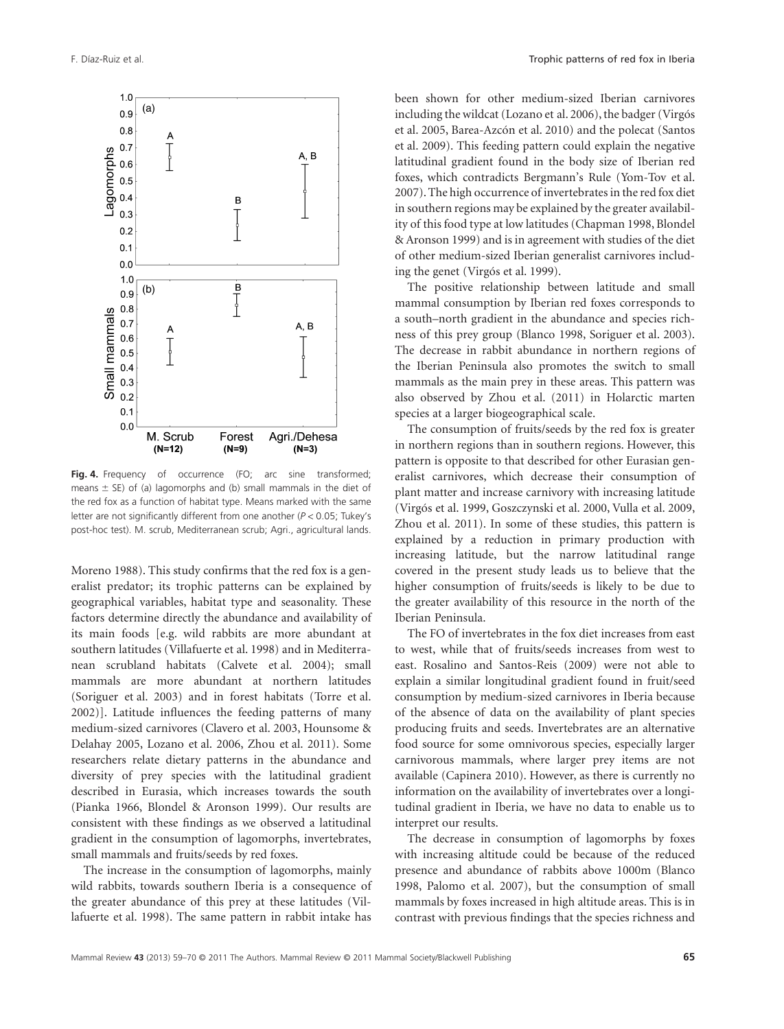

**Fig. 4.** Frequency of occurrence (FO; arc sine transformed; means  $\pm$  SE) of (a) lagomorphs and (b) small mammals in the diet of the red fox as a function of habitat type. Means marked with the same letter are not significantly different from one another (*P* < 0.05; Tukey's post-hoc test). M. scrub, Mediterranean scrub; Agri., agricultural lands.

Moreno 1988). This study confirms that the red fox is a generalist predator; its trophic patterns can be explained by geographical variables, habitat type and seasonality. These factors determine directly the abundance and availability of its main foods [e.g. wild rabbits are more abundant at southern latitudes (Villafuerte et al. 1998) and in Mediterranean scrubland habitats (Calvete et al. 2004); small mammals are more abundant at northern latitudes (Soriguer et al. 2003) and in forest habitats (Torre et al. 2002)]. Latitude influences the feeding patterns of many medium-sized carnivores (Clavero et al. 2003, Hounsome & Delahay 2005, Lozano et al. 2006, Zhou et al. 2011). Some researchers relate dietary patterns in the abundance and diversity of prey species with the latitudinal gradient described in Eurasia, which increases towards the south (Pianka 1966, Blondel & Aronson 1999). Our results are consistent with these findings as we observed a latitudinal gradient in the consumption of lagomorphs, invertebrates, small mammals and fruits/seeds by red foxes.

The increase in the consumption of lagomorphs, mainly wild rabbits, towards southern Iberia is a consequence of the greater abundance of this prey at these latitudes (Villafuerte et al. 1998). The same pattern in rabbit intake has

been shown for other medium-sized Iberian carnivores including the wildcat (Lozano et al. 2006), the badger (Virgós et al. 2005, Barea-Azcón et al. 2010) and the polecat (Santos et al. 2009). This feeding pattern could explain the negative latitudinal gradient found in the body size of Iberian red foxes, which contradicts Bergmann's Rule (Yom-Tov et al. 2007). The high occurrence of invertebrates in the red fox diet in southern regions may be explained by the greater availability of this food type at low latitudes (Chapman 1998, Blondel & Aronson 1999) and is in agreement with studies of the diet of other medium-sized Iberian generalist carnivores including the genet (Virgós et al. 1999).

The positive relationship between latitude and small mammal consumption by Iberian red foxes corresponds to a south–north gradient in the abundance and species richness of this prey group (Blanco 1998, Soriguer et al. 2003). The decrease in rabbit abundance in northern regions of the Iberian Peninsula also promotes the switch to small mammals as the main prey in these areas. This pattern was also observed by Zhou et al. (2011) in Holarctic marten species at a larger biogeographical scale.

The consumption of fruits/seeds by the red fox is greater in northern regions than in southern regions. However, this pattern is opposite to that described for other Eurasian generalist carnivores, which decrease their consumption of plant matter and increase carnivory with increasing latitude (Virgós et al. 1999, Goszczynski et al. 2000, Vulla et al. 2009, Zhou et al. 2011). In some of these studies, this pattern is explained by a reduction in primary production with increasing latitude, but the narrow latitudinal range covered in the present study leads us to believe that the higher consumption of fruits/seeds is likely to be due to the greater availability of this resource in the north of the Iberian Peninsula.

The FO of invertebrates in the fox diet increases from east to west, while that of fruits/seeds increases from west to east. Rosalino and Santos-Reis (2009) were not able to explain a similar longitudinal gradient found in fruit/seed consumption by medium-sized carnivores in Iberia because of the absence of data on the availability of plant species producing fruits and seeds. Invertebrates are an alternative food source for some omnivorous species, especially larger carnivorous mammals, where larger prey items are not available (Capinera 2010). However, as there is currently no information on the availability of invertebrates over a longitudinal gradient in Iberia, we have no data to enable us to interpret our results.

The decrease in consumption of lagomorphs by foxes with increasing altitude could be because of the reduced presence and abundance of rabbits above 1000m (Blanco 1998, Palomo et al. 2007), but the consumption of small mammals by foxes increased in high altitude areas. This is in contrast with previous findings that the species richness and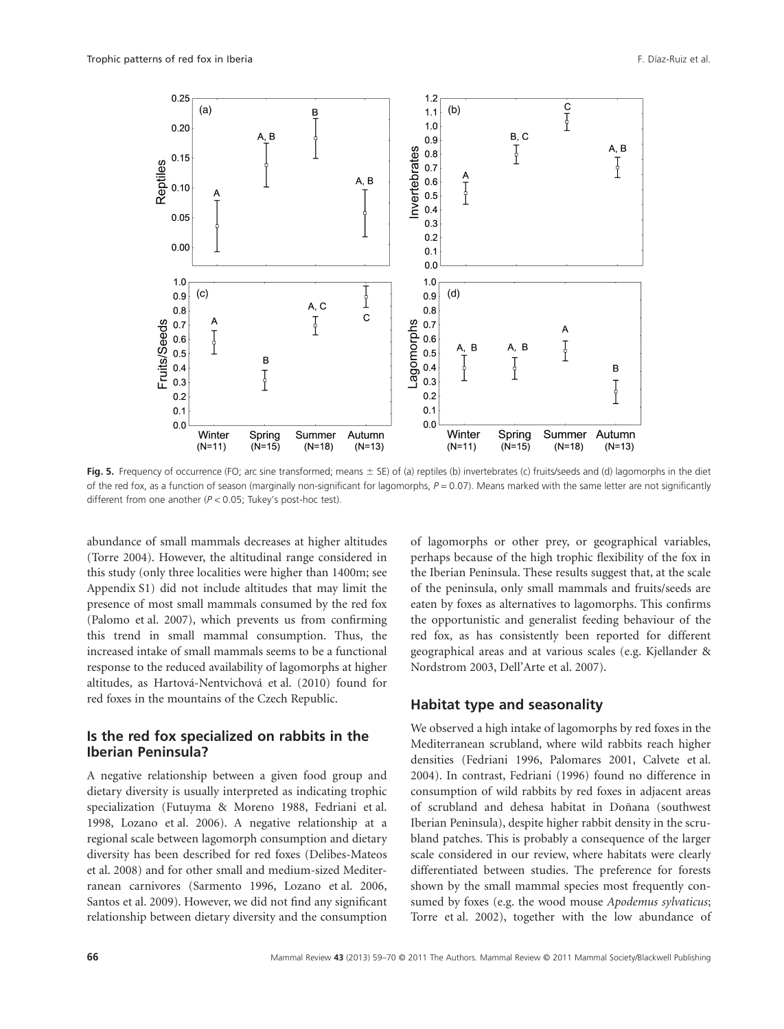

**Fig. 5.** Frequency of occurrence (FO; arc sine transformed; means  $\pm$  SE) of (a) reptiles (b) invertebrates (c) fruits/seeds and (d) lagomorphs in the diet of the red fox, as a function of season (marginally non-significant for lagomorphs, *P* = 0.07). Means marked with the same letter are not significantly different from one another (*P* < 0.05; Tukey's post-hoc test).

abundance of small mammals decreases at higher altitudes (Torre 2004). However, the altitudinal range considered in this study (only three localities were higher than 1400m; see Appendix S1) did not include altitudes that may limit the presence of most small mammals consumed by the red fox (Palomo et al. 2007), which prevents us from confirming this trend in small mammal consumption. Thus, the increased intake of small mammals seems to be a functional response to the reduced availability of lagomorphs at higher altitudes, as Hartová-Nentvichová et al. (2010) found for red foxes in the mountains of the Czech Republic.

#### **Is the red fox specialized on rabbits in the Iberian Peninsula?**

A negative relationship between a given food group and dietary diversity is usually interpreted as indicating trophic specialization (Futuyma & Moreno 1988, Fedriani et al. 1998, Lozano et al. 2006). A negative relationship at a regional scale between lagomorph consumption and dietary diversity has been described for red foxes (Delibes-Mateos et al. 2008) and for other small and medium-sized Mediterranean carnivores (Sarmento 1996, Lozano et al. 2006, Santos et al. 2009). However, we did not find any significant relationship between dietary diversity and the consumption of lagomorphs or other prey, or geographical variables, perhaps because of the high trophic flexibility of the fox in the Iberian Peninsula. These results suggest that, at the scale of the peninsula, only small mammals and fruits/seeds are eaten by foxes as alternatives to lagomorphs. This confirms the opportunistic and generalist feeding behaviour of the red fox, as has consistently been reported for different geographical areas and at various scales (e.g. Kjellander & Nordstrom 2003, Dell'Arte et al. 2007).

#### **Habitat type and seasonality**

We observed a high intake of lagomorphs by red foxes in the Mediterranean scrubland, where wild rabbits reach higher densities (Fedriani 1996, Palomares 2001, Calvete et al. 2004). In contrast, Fedriani (1996) found no difference in consumption of wild rabbits by red foxes in adjacent areas of scrubland and dehesa habitat in Doñana (southwest Iberian Peninsula), despite higher rabbit density in the scrubland patches. This is probably a consequence of the larger scale considered in our review, where habitats were clearly differentiated between studies. The preference for forests shown by the small mammal species most frequently consumed by foxes (e.g. the wood mouse *Apodemus sylvaticus*; Torre et al. 2002), together with the low abundance of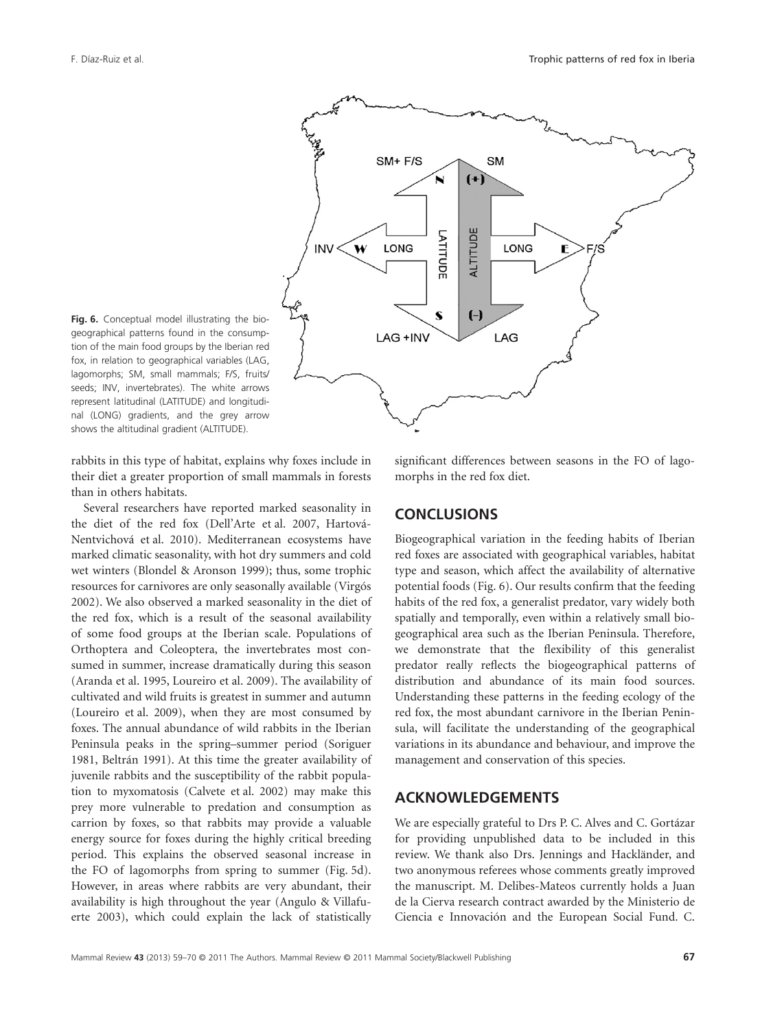

Fig. 6. Conceptual model illustrating the biogeographical patterns found in the consumption of the main food groups by the Iberian red fox, in relation to geographical variables (LAG, lagomorphs; SM, small mammals; F/S, fruits/ seeds; INV, invertebrates). The white arrows represent latitudinal (LATITUDE) and longitudinal (LONG) gradients, and the grey arrow shows the altitudinal gradient (ALTITUDE).

rabbits in this type of habitat, explains why foxes include in their diet a greater proportion of small mammals in forests than in others habitats.

Several researchers have reported marked seasonality in the diet of the red fox (Dell'Arte et al. 2007, Hartová-Nentvichová et al. 2010). Mediterranean ecosystems have marked climatic seasonality, with hot dry summers and cold wet winters (Blondel & Aronson 1999); thus, some trophic resources for carnivores are only seasonally available (Virgós 2002). We also observed a marked seasonality in the diet of the red fox, which is a result of the seasonal availability of some food groups at the Iberian scale. Populations of Orthoptera and Coleoptera, the invertebrates most consumed in summer, increase dramatically during this season (Aranda et al. 1995, Loureiro et al. 2009). The availability of cultivated and wild fruits is greatest in summer and autumn (Loureiro et al. 2009), when they are most consumed by foxes. The annual abundance of wild rabbits in the Iberian Peninsula peaks in the spring–summer period (Soriguer 1981, Beltrán 1991). At this time the greater availability of juvenile rabbits and the susceptibility of the rabbit population to myxomatosis (Calvete et al. 2002) may make this prey more vulnerable to predation and consumption as carrion by foxes, so that rabbits may provide a valuable energy source for foxes during the highly critical breeding period. This explains the observed seasonal increase in the FO of lagomorphs from spring to summer (Fig. 5d). However, in areas where rabbits are very abundant, their availability is high throughout the year (Angulo & Villafuerte 2003), which could explain the lack of statistically

significant differences between seasons in the FO of lagomorphs in the red fox diet.

## **CONCLUSIONS**

Biogeographical variation in the feeding habits of Iberian red foxes are associated with geographical variables, habitat type and season, which affect the availability of alternative potential foods (Fig. 6). Our results confirm that the feeding habits of the red fox, a generalist predator, vary widely both spatially and temporally, even within a relatively small biogeographical area such as the Iberian Peninsula. Therefore, we demonstrate that the flexibility of this generalist predator really reflects the biogeographical patterns of distribution and abundance of its main food sources. Understanding these patterns in the feeding ecology of the red fox, the most abundant carnivore in the Iberian Peninsula, will facilitate the understanding of the geographical variations in its abundance and behaviour, and improve the management and conservation of this species.

## **ACKNOWLEDGEMENTS**

We are especially grateful to Drs P. C. Alves and C. Gortázar for providing unpublished data to be included in this review. We thank also Drs. Jennings and Hackländer, and two anonymous referees whose comments greatly improved the manuscript. M. Delibes-Mateos currently holds a Juan de la Cierva research contract awarded by the Ministerio de Ciencia e Innovación and the European Social Fund. C.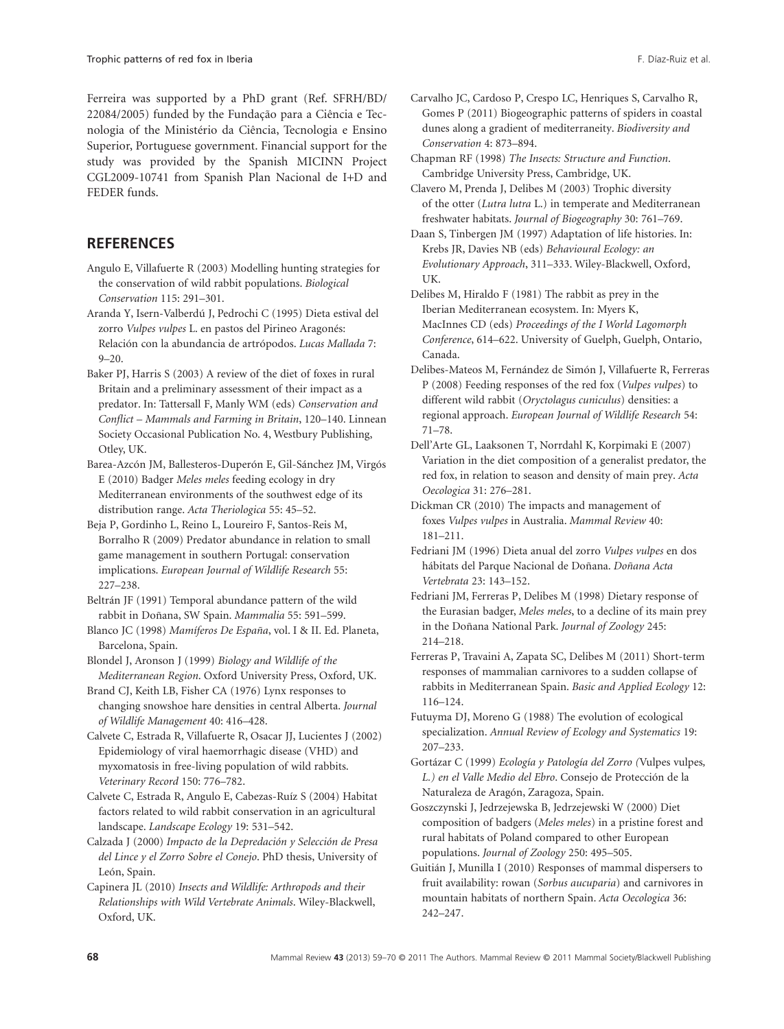Ferreira was supported by a PhD grant (Ref. SFRH/BD/ 22084/2005) funded by the Fundação para a Ciência e Tecnologia of the Ministério da Ciência, Tecnologia e Ensino Superior, Portuguese government. Financial support for the study was provided by the Spanish MICINN Project CGL2009-10741 from Spanish Plan Nacional de I+D and FEDER funds.

## **REFERENCES**

- Angulo E, Villafuerte R (2003) Modelling hunting strategies for the conservation of wild rabbit populations. *Biological Conservation* 115: 291–301.
- Aranda Y, Isern-Valberdú J, Pedrochi C (1995) Dieta estival del zorro *Vulpes vulpes* L. en pastos del Pirineo Aragonés: Relación con la abundancia de artrópodos. *Lucas Mallada* 7:  $9 - 20.$
- Baker PJ, Harris S (2003) A review of the diet of foxes in rural Britain and a preliminary assessment of their impact as a predator. In: Tattersall F, Manly WM (eds) *Conservation and Conflict – Mammals and Farming in Britain*, 120–140. Linnean Society Occasional Publication No. 4, Westbury Publishing, Otley, UK.
- Barea-Azcón JM, Ballesteros-Duperón E, Gil-Sánchez JM, Virgós E (2010) Badger *Meles meles* feeding ecology in dry Mediterranean environments of the southwest edge of its distribution range. *Acta Theriologica* 55: 45–52.
- Beja P, Gordinho L, Reino L, Loureiro F, Santos-Reis M, Borralho R (2009) Predator abundance in relation to small game management in southern Portugal: conservation implications. *European Journal of Wildlife Research* 55: 227–238.
- Beltrán JF (1991) Temporal abundance pattern of the wild rabbit in Doñana, SW Spain. *Mammalia* 55: 591–599.
- Blanco JC (1998) *Mamíferos De España*, vol. I & II. Ed. Planeta, Barcelona, Spain.
- Blondel J, Aronson J (1999) *Biology and Wildlife of the Mediterranean Region*. Oxford University Press, Oxford, UK.
- Brand CJ, Keith LB, Fisher CA (1976) Lynx responses to changing snowshoe hare densities in central Alberta. *Journal of Wildlife Management* 40: 416–428.
- Calvete C, Estrada R, Villafuerte R, Osacar JJ, Lucientes J (2002) Epidemiology of viral haemorrhagic disease (VHD) and myxomatosis in free-living population of wild rabbits. *Veterinary Record* 150: 776–782.
- Calvete C, Estrada R, Angulo E, Cabezas-Ruíz S (2004) Habitat factors related to wild rabbit conservation in an agricultural landscape. *Landscape Ecology* 19: 531–542.
- Calzada J (2000) *Impacto de la Depredación y Selección de Presa del Lince y el Zorro Sobre el Conejo*. PhD thesis, University of León, Spain.
- Capinera JL (2010) *Insects and Wildlife: Arthropods and their Relationships with Wild Vertebrate Animals*. Wiley-Blackwell, Oxford, UK.
- Carvalho JC, Cardoso P, Crespo LC, Henriques S, Carvalho R, Gomes P (2011) Biogeographic patterns of spiders in coastal dunes along a gradient of mediterraneity. *Biodiversity and Conservation* 4: 873–894.
- Chapman RF (1998) *The Insects: Structure and Function*. Cambridge University Press, Cambridge, UK.
- Clavero M, Prenda J, Delibes M (2003) Trophic diversity of the otter (*Lutra lutra* L.) in temperate and Mediterranean freshwater habitats. *Journal of Biogeography* 30: 761–769.
- Daan S, Tinbergen JM (1997) Adaptation of life histories. In: Krebs JR, Davies NB (eds) *Behavioural Ecology: an Evolutionary Approach*, 311–333. Wiley-Blackwell, Oxford, UK.
- Delibes M, Hiraldo F (1981) The rabbit as prey in the Iberian Mediterranean ecosystem. In: Myers K, MacInnes CD (eds) *Proceedings of the I World Lagomorph Conference*, 614–622. University of Guelph, Guelph, Ontario, Canada.
- Delibes-Mateos M, Fernández de Simón J, Villafuerte R, Ferreras P (2008) Feeding responses of the red fox (*Vulpes vulpes*) to different wild rabbit (*Oryctolagus cuniculus*) densities: a regional approach. *European Journal of Wildlife Research* 54: 71–78.
- Dell'Arte GL, Laaksonen T, Norrdahl K, Korpimaki E (2007) Variation in the diet composition of a generalist predator, the red fox, in relation to season and density of main prey. *Acta Oecologica* 31: 276–281.
- Dickman CR (2010) The impacts and management of foxes *Vulpes vulpes* in Australia. *Mammal Review* 40: 181–211.
- Fedriani JM (1996) Dieta anual del zorro *Vulpes vulpes* en dos hábitats del Parque Nacional de Doñana. *Doñana Acta Vertebrata* 23: 143–152.
- Fedriani JM, Ferreras P, Delibes M (1998) Dietary response of the Eurasian badger, *Meles meles*, to a decline of its main prey in the Doñana National Park. *Journal of Zoology* 245: 214–218.
- Ferreras P, Travaini A, Zapata SC, Delibes M (2011) Short-term responses of mammalian carnivores to a sudden collapse of rabbits in Mediterranean Spain. *Basic and Applied Ecology* 12: 116–124.
- Futuyma DJ, Moreno G (1988) The evolution of ecological specialization. *Annual Review of Ecology and Systematics* 19: 207–233.
- Gortázar C (1999) *Ecología y Patología del Zorro (*Vulpes vulpes*, L.) en el Valle Medio del Ebro*. Consejo de Protección de la Naturaleza de Aragón, Zaragoza, Spain.
- Goszczynski J, Jedrzejewska B, Jedrzejewski W (2000) Diet composition of badgers (*Meles meles*) in a pristine forest and rural habitats of Poland compared to other European populations. *Journal of Zoology* 250: 495–505.
- Guitián J, Munilla I (2010) Responses of mammal dispersers to fruit availability: rowan (*Sorbus aucuparia*) and carnivores in mountain habitats of northern Spain. *Acta Oecologica* 36: 242–247.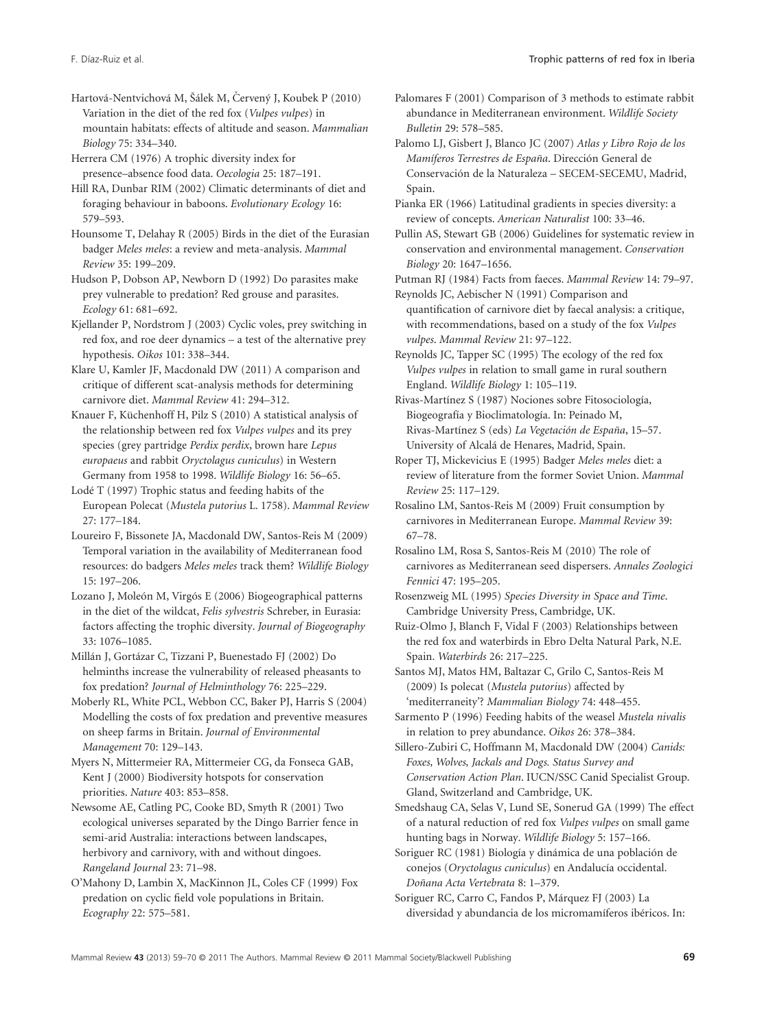Hartová-Nentvichová M, Šálek M, Červený J, Koubek P (2010) Variation in the diet of the red fox (*Vulpes vulpes*) in mountain habitats: effects of altitude and season. *Mammalian Biology* 75: 334–340.

Herrera CM (1976) A trophic diversity index for presence–absence food data. *Oecologia* 25: 187–191.

Hill RA, Dunbar RIM (2002) Climatic determinants of diet and foraging behaviour in baboons. *Evolutionary Ecology* 16: 579–593.

Hounsome T, Delahay R (2005) Birds in the diet of the Eurasian badger *Meles meles*: a review and meta-analysis. *Mammal Review* 35: 199–209.

Hudson P, Dobson AP, Newborn D (1992) Do parasites make prey vulnerable to predation? Red grouse and parasites. *Ecology* 61: 681–692.

Kjellander P, Nordstrom J (2003) Cyclic voles, prey switching in red fox, and roe deer dynamics – a test of the alternative prey hypothesis. *Oikos* 101: 338–344.

Klare U, Kamler JF, Macdonald DW (2011) A comparison and critique of different scat-analysis methods for determining carnivore diet. *Mammal Review* 41: 294–312.

Knauer F, Küchenhoff H, Pilz S (2010) A statistical analysis of the relationship between red fox *Vulpes vulpes* and its prey species (grey partridge *Perdix perdix*, brown hare *Lepus europaeus* and rabbit *Oryctolagus cuniculus*) in Western Germany from 1958 to 1998. *Wildlife Biology* 16: 56–65.

Lodé T (1997) Trophic status and feeding habits of the European Polecat (*Mustela putorius* L. 1758). *Mammal Review* 27: 177–184.

Loureiro F, Bissonete JA, Macdonald DW, Santos-Reis M (2009) Temporal variation in the availability of Mediterranean food resources: do badgers *Meles meles* track them? *Wildlife Biology* 15: 197–206.

Lozano J, Moleón M, Virgós E (2006) Biogeographical patterns in the diet of the wildcat, *Felis sylvestris* Schreber, in Eurasia: factors affecting the trophic diversity. *Journal of Biogeography* 33: 1076–1085.

Millán J, Gortázar C, Tizzani P, Buenestado FJ (2002) Do helminths increase the vulnerability of released pheasants to fox predation? *Journal of Helminthology* 76: 225–229.

Moberly RL, White PCL, Webbon CC, Baker PJ, Harris S (2004) Modelling the costs of fox predation and preventive measures on sheep farms in Britain. *Journal of Environmental Management* 70: 129–143.

Myers N, Mittermeier RA, Mittermeier CG, da Fonseca GAB, Kent J (2000) Biodiversity hotspots for conservation priorities. *Nature* 403: 853–858.

Newsome AE, Catling PC, Cooke BD, Smyth R (2001) Two ecological universes separated by the Dingo Barrier fence in semi-arid Australia: interactions between landscapes, herbivory and carnivory, with and without dingoes. *Rangeland Journal* 23: 71–98.

O'Mahony D, Lambin X, MacKinnon JL, Coles CF (1999) Fox predation on cyclic field vole populations in Britain. *Ecography* 22: 575–581.

Palomares F (2001) Comparison of 3 methods to estimate rabbit abundance in Mediterranean environment. *Wildlife Society Bulletin* 29: 578–585.

Palomo LJ, Gisbert J, Blanco JC (2007) *Atlas y Libro Rojo de los Mamíferos Terrestres de España*. Dirección General de Conservación de la Naturaleza – SECEM-SECEMU, Madrid, Spain.

Pianka ER (1966) Latitudinal gradients in species diversity: a review of concepts. *American Naturalist* 100: 33–46.

Pullin AS, Stewart GB (2006) Guidelines for systematic review in conservation and environmental management. *Conservation Biology* 20: 1647–1656.

Putman RJ (1984) Facts from faeces. *Mammal Review* 14: 79–97. Reynolds JC, Aebischer N (1991) Comparison and

quantification of carnivore diet by faecal analysis: a critique, with recommendations, based on a study of the fox *Vulpes vulpes*. *Mammal Review* 21: 97–122.

Reynolds JC, Tapper SC (1995) The ecology of the red fox *Vulpes vulpes* in relation to small game in rural southern England. *Wildlife Biology* 1: 105–119.

Rivas-Martínez S (1987) Nociones sobre Fitosociología, Biogeografía y Bioclimatología. In: Peinado M, Rivas-Martínez S (eds) *La Vegetación de España*, 15–57. University of Alcalá de Henares, Madrid, Spain.

Roper TJ, Mickevicius E (1995) Badger *Meles meles* diet: a review of literature from the former Soviet Union. *Mammal Review* 25: 117–129.

Rosalino LM, Santos-Reis M (2009) Fruit consumption by carnivores in Mediterranean Europe. *Mammal Review* 39: 67–78.

Rosalino LM, Rosa S, Santos-Reis M (2010) The role of carnivores as Mediterranean seed dispersers. *Annales Zoologici Fennici* 47: 195–205.

Rosenzweig ML (1995) *Species Diversity in Space and Time*. Cambridge University Press, Cambridge, UK.

Ruiz-Olmo J, Blanch F, Vidal F (2003) Relationships between the red fox and waterbirds in Ebro Delta Natural Park, N.E. Spain. *Waterbirds* 26: 217–225.

Santos MJ, Matos HM, Baltazar C, Grilo C, Santos-Reis M (2009) Is polecat (*Mustela putorius*) affected by 'mediterraneity'? *Mammalian Biology* 74: 448–455.

Sarmento P (1996) Feeding habits of the weasel *Mustela nivalis* in relation to prey abundance. *Oikos* 26: 378–384.

Sillero-Zubiri C, Hoffmann M, Macdonald DW (2004) *Canids: Foxes, Wolves, Jackals and Dogs. Status Survey and Conservation Action Plan*. IUCN/SSC Canid Specialist Group. Gland, Switzerland and Cambridge, UK.

Smedshaug CA, Selas V, Lund SE, Sonerud GA (1999) The effect of a natural reduction of red fox *Vulpes vulpes* on small game hunting bags in Norway. *Wildlife Biology* 5: 157–166.

Soriguer RC (1981) Biología y dinámica de una población de conejos (*Oryctolagus cuniculus*) en Andalucía occidental. *Doñana Acta Vertebrata* 8: 1–379.

Soriguer RC, Carro C, Fandos P, Márquez FJ (2003) La diversidad y abundancia de los micromamíferos ibéricos. In: